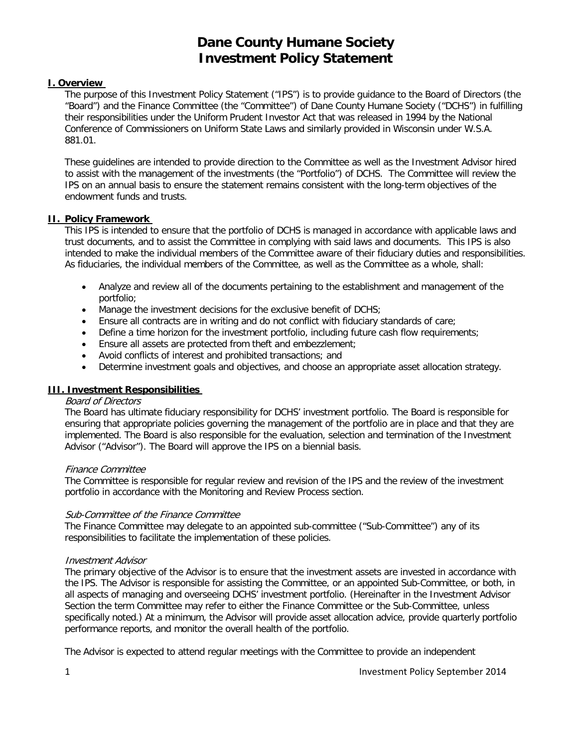## **I. Overview**

The purpose of this Investment Policy Statement ("IPS") is to provide guidance to the Board of Directors (the "Board") and the Finance Committee (the "Committee") of Dane County Humane Society ("DCHS") in fulfilling their responsibilities under the Uniform Prudent Investor Act that was released in 1994 by the National Conference of Commissioners on Uniform State Laws and similarly provided in Wisconsin under W.S.A. 881.01.

These guidelines are intended to provide direction to the Committee as well as the Investment Advisor hired to assist with the management of the investments (the "Portfolio") of DCHS. The Committee will review the IPS on an annual basis to ensure the statement remains consistent with the long-term objectives of the endowment funds and trusts.

## **II. Policy Framework**

This IPS is intended to ensure that the portfolio of DCHS is managed in accordance with applicable laws and trust documents, and to assist the Committee in complying with said laws and documents. This IPS is also intended to make the individual members of the Committee aware of their fiduciary duties and responsibilities. As fiduciaries, the individual members of the Committee, as well as the Committee as a whole, shall:

- Analyze and review all of the documents pertaining to the establishment and management of the portfolio;
- Manage the investment decisions for the exclusive benefit of DCHS;
- Ensure all contracts are in writing and do not conflict with fiduciary standards of care;
- Define a time horizon for the investment portfolio, including future cash flow requirements;
- Ensure all assets are protected from theft and embezzlement;
- Avoid conflicts of interest and prohibited transactions; and
- Determine investment goals and objectives, and choose an appropriate asset allocation strategy.

## **III. Investment Responsibilities**

## Board of Directors

The Board has ultimate fiduciary responsibility for DCHS' investment portfolio. The Board is responsible for ensuring that appropriate policies governing the management of the portfolio are in place and that they are implemented. The Board is also responsible for the evaluation, selection and termination of the Investment Advisor ("Advisor"). The Board will approve the IPS on a biennial basis.

## Finance Committee

The Committee is responsible for regular review and revision of the IPS and the review of the investment portfolio in accordance with the Monitoring and Review Process section.

## Sub-Committee of the Finance Committee

The Finance Committee may delegate to an appointed sub-committee ("Sub-Committee") any of its responsibilities to facilitate the implementation of these policies.

## Investment Advisor

The primary objective of the Advisor is to ensure that the investment assets are invested in accordance with the IPS. The Advisor is responsible for assisting the Committee, or an appointed Sub-Committee, or both, in all aspects of managing and overseeing DCHS' investment portfolio. (Hereinafter in the Investment Advisor Section the term Committee may refer to either the Finance Committee or the Sub-Committee, unless specifically noted.) At a minimum, the Advisor will provide asset allocation advice, provide quarterly portfolio performance reports, and monitor the overall health of the portfolio.

The Advisor is expected to attend regular meetings with the Committee to provide an independent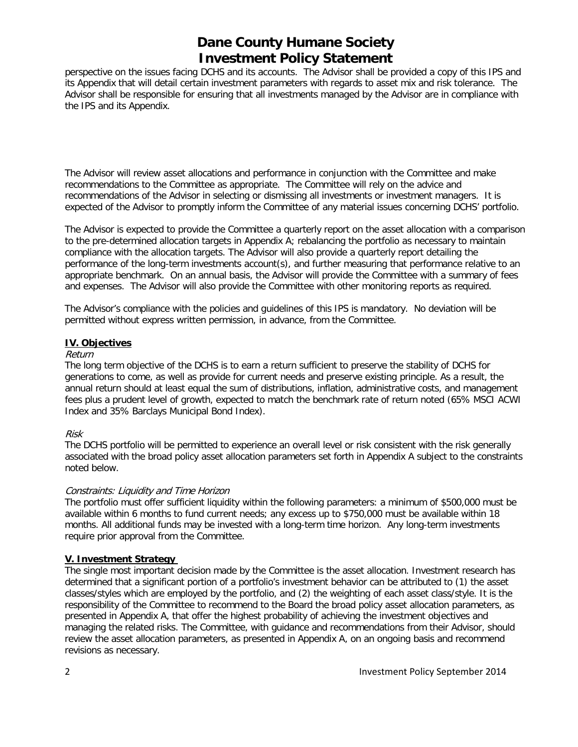perspective on the issues facing DCHS and its accounts. The Advisor shall be provided a copy of this IPS and its Appendix that will detail certain investment parameters with regards to asset mix and risk tolerance. The Advisor shall be responsible for ensuring that all investments managed by the Advisor are in compliance with the IPS and its Appendix.

The Advisor will review asset allocations and performance in conjunction with the Committee and make recommendations to the Committee as appropriate. The Committee will rely on the advice and recommendations of the Advisor in selecting or dismissing all investments or investment managers. It is expected of the Advisor to promptly inform the Committee of any material issues concerning DCHS' portfolio.

The Advisor is expected to provide the Committee a quarterly report on the asset allocation with a comparison to the pre-determined allocation targets in Appendix A; rebalancing the portfolio as necessary to maintain compliance with the allocation targets. The Advisor will also provide a quarterly report detailing the performance of the long-term investments account(s), and further measuring that performance relative to an appropriate benchmark. On an annual basis, the Advisor will provide the Committee with a summary of fees and expenses. The Advisor will also provide the Committee with other monitoring reports as required.

The Advisor's compliance with the policies and guidelines of this IPS is mandatory. No deviation will be permitted without express written permission, in advance, from the Committee.

## **IV. Objectives**

#### Return

The long term objective of the DCHS is to earn a return sufficient to preserve the stability of DCHS for generations to come, as well as provide for current needs and preserve existing principle. As a result, the annual return should at least equal the sum of distributions, inflation, administrative costs, and management fees plus a prudent level of growth, expected to match the benchmark rate of return noted (65% MSCI ACWI Index and 35% Barclays Municipal Bond Index).

#### Risk

The DCHS portfolio will be permitted to experience an overall level or risk consistent with the risk generally associated with the broad policy asset allocation parameters set forth in Appendix A subject to the constraints noted below.

#### Constraints: Liquidity and Time Horizon

The portfolio must offer sufficient liquidity within the following parameters: a minimum of \$500,000 must be available within 6 months to fund current needs; any excess up to \$750,000 must be available within 18 months. All additional funds may be invested with a long-term time horizon. Any long-term investments require prior approval from the Committee.

## **V. Investment Strategy**

The single most important decision made by the Committee is the asset allocation. Investment research has determined that a significant portion of a portfolio's investment behavior can be attributed to (1) the asset classes/styles which are employed by the portfolio, and (2) the weighting of each asset class/style. It is the responsibility of the Committee to recommend to the Board the broad policy asset allocation parameters, as presented in Appendix A, that offer the highest probability of achieving the investment objectives and managing the related risks. The Committee, with guidance and recommendations from their Advisor, should review the asset allocation parameters, as presented in Appendix A, on an ongoing basis and recommend revisions as necessary.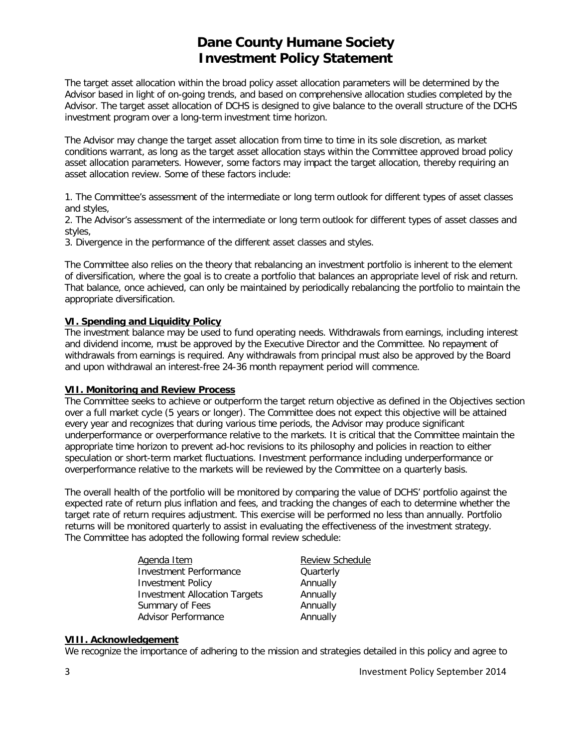The target asset allocation within the broad policy asset allocation parameters will be determined by the Advisor based in light of on-going trends, and based on comprehensive allocation studies completed by the Advisor. The target asset allocation of DCHS is designed to give balance to the overall structure of the DCHS investment program over a long-term investment time horizon.

The Advisor may change the target asset allocation from time to time in its sole discretion, as market conditions warrant, as long as the target asset allocation stays within the Committee approved broad policy asset allocation parameters. However, some factors may impact the target allocation, thereby requiring an asset allocation review. Some of these factors include:

1. The Committee's assessment of the intermediate or long term outlook for different types of asset classes and styles,

2. The Advisor's assessment of the intermediate or long term outlook for different types of asset classes and styles,

3. Divergence in the performance of the different asset classes and styles.

The Committee also relies on the theory that rebalancing an investment portfolio is inherent to the element of diversification, where the goal is to create a portfolio that balances an appropriate level of risk and return. That balance, once achieved, can only be maintained by periodically rebalancing the portfolio to maintain the appropriate diversification.

## **VI. Spending and Liquidity Policy**

The investment balance may be used to fund operating needs. Withdrawals from earnings, including interest and dividend income, must be approved by the Executive Director and the Committee. No repayment of withdrawals from earnings is required. Any withdrawals from principal must also be approved by the Board and upon withdrawal an interest-free 24-36 month repayment period will commence.

## **VII. Monitoring and Review Process**

The Committee seeks to achieve or outperform the target return objective as defined in the Objectives section over a full market cycle (5 years or longer). The Committee does not expect this objective will be attained every year and recognizes that during various time periods, the Advisor may produce significant underperformance or overperformance relative to the markets. It is critical that the Committee maintain the appropriate time horizon to prevent ad-hoc revisions to its philosophy and policies in reaction to either speculation or short-term market fluctuations. Investment performance including underperformance or overperformance relative to the markets will be reviewed by the Committee on a quarterly basis.

The overall health of the portfolio will be monitored by comparing the value of DCHS' portfolio against the expected rate of return plus inflation and fees, and tracking the changes of each to determine whether the target rate of return requires adjustment. This exercise will be performed no less than annually. Portfolio returns will be monitored quarterly to assist in evaluating the effectiveness of the investment strategy. The Committee has adopted the following formal review schedule:

| Agenda Item                          | <b>Review Schedule</b> |  |
|--------------------------------------|------------------------|--|
| <b>Investment Performance</b>        | Quarterly              |  |
| <b>Investment Policy</b>             | Annually               |  |
| <b>Investment Allocation Targets</b> | Annually               |  |
| Summary of Fees                      | Annually               |  |
| Advisor Performance                  | Annually               |  |

#### **VIII. Acknowledgement**

We recognize the importance of adhering to the mission and strategies detailed in this policy and agree to

3 Investment Policy September 2014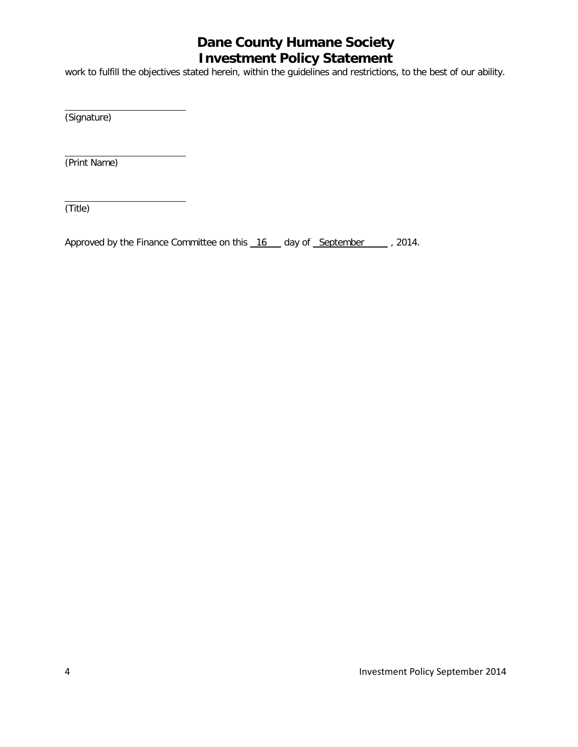work to fulfill the objectives stated herein, within the guidelines and restrictions, to the best of our ability.

(Signature)

(Print Name)

(Title)

Approved by the Finance Committee on this 16 day of September 1. 2014.

4 Investment Policy September 2014